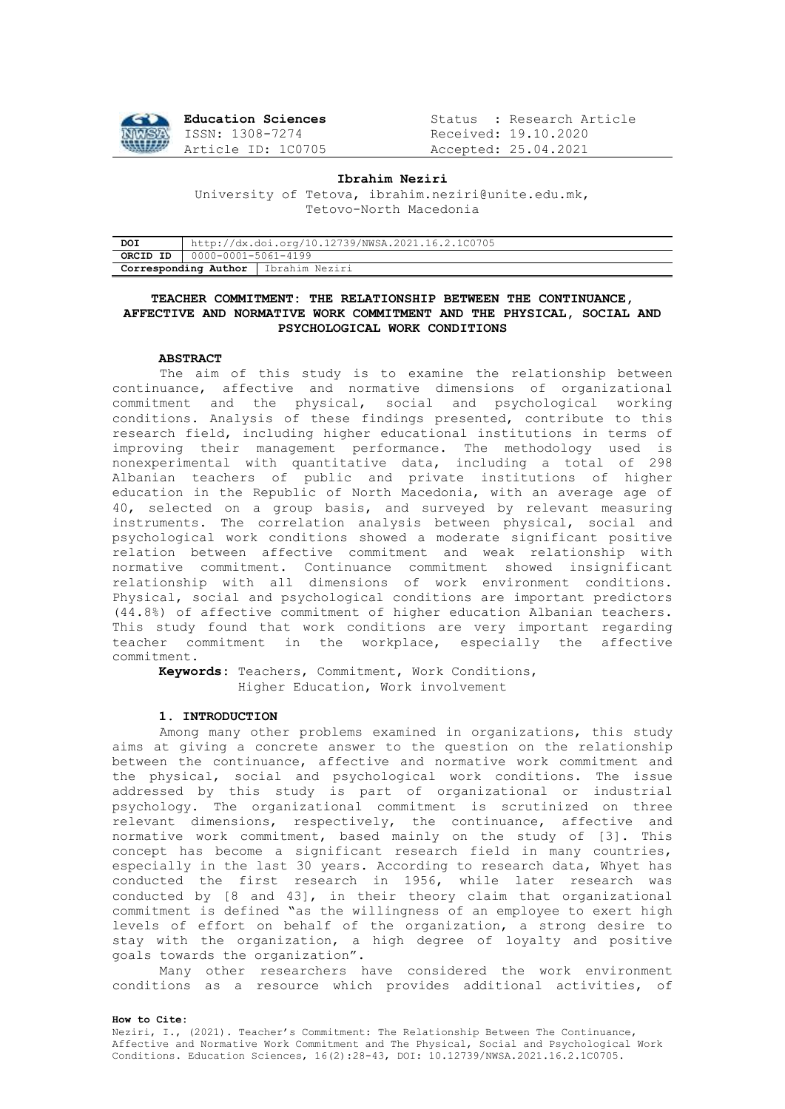

Education Sciences **Status** : Research Article ISSN: 1308-7274 Received: 19.10.2020 Article ID: 1C0705 Accepted: 25.04.2021

### **Ibrahim Neziri**

University of Tetova, ibrahim.neziri@unite.edu.mk, Tetovo-North Macedonia

| DOI                                          | http://dx.doi.org/10.12739/NWSA.2021.16.2.1C0705 |  |  |  |  |
|----------------------------------------------|--------------------------------------------------|--|--|--|--|
|                                              | ORCID ID   $0000 - 0001 - 5061 - 4199$           |  |  |  |  |
| <b>Corresponding Author</b>   Ibrahim Neziri |                                                  |  |  |  |  |

### **TEACHER COMMITMENT: THE RELATIONSHIP BETWEEN THE CONTINUANCE, AFFECTIVE AND NORMATIVE WORK COMMITMENT AND THE PHYSICAL, SOCIAL AND PSYCHOLOGICAL WORK CONDITIONS**

#### **ABSTRACT**

 The aim of this study is to examine the relationship between continuance, affective and normative dimensions of organizational commitment and the physical, social and psychological working conditions. Analysis of these findings presented, contribute to this research field, including higher educational institutions in terms of improving their management performance. The methodology used is nonexperimental with quantitative data, including a total of 298 Albanian teachers of public and private institutions of higher education in the Republic of North Macedonia, with an average age of 40, selected on a group basis, and surveyed by relevant measuring instruments. The correlation analysis between physical, social and psychological work conditions showed a moderate significant positive relation between affective commitment and weak relationship with normative commitment. Continuance commitment showed insignificant relationship with all dimensions of work environment conditions. Physical, social and psychological conditions are important predictors (44.8%) of affective commitment of higher education Albanian teachers. This study found that work conditions are very important regarding teacher commitment in the workplace, especially the affective commitment.

**Keywords:** Teachers, Commitment, Work Conditions, Higher Education, Work involvement

#### **1. INTRODUCTION**

Among many other problems examined in organizations, this study aims at giving a concrete answer to the question on the relationship between the continuance, affective and normative work commitment and the physical, social and psychological work conditions. The issue addressed by this study is part of organizational or industrial psychology. The organizational commitment is scrutinized on three relevant dimensions, respectively, the continuance, affective and normative work commitment, based mainly on the study of [3]. This concept has become a significant research field in many countries, especially in the last 30 years. According to research data, Whyet has conducted the first research in 1956, while later research was conducted by [8 and 43], in their theory claim that organizational commitment is defined "as the willingness of an employee to exert high levels of effort on behalf of the organization, a strong desire to stay with the organization, a high degree of loyalty and positive goals towards the organization".

Many other researchers have considered the work environment conditions as a resource which provides additional activities, of

#### **How to Cite:**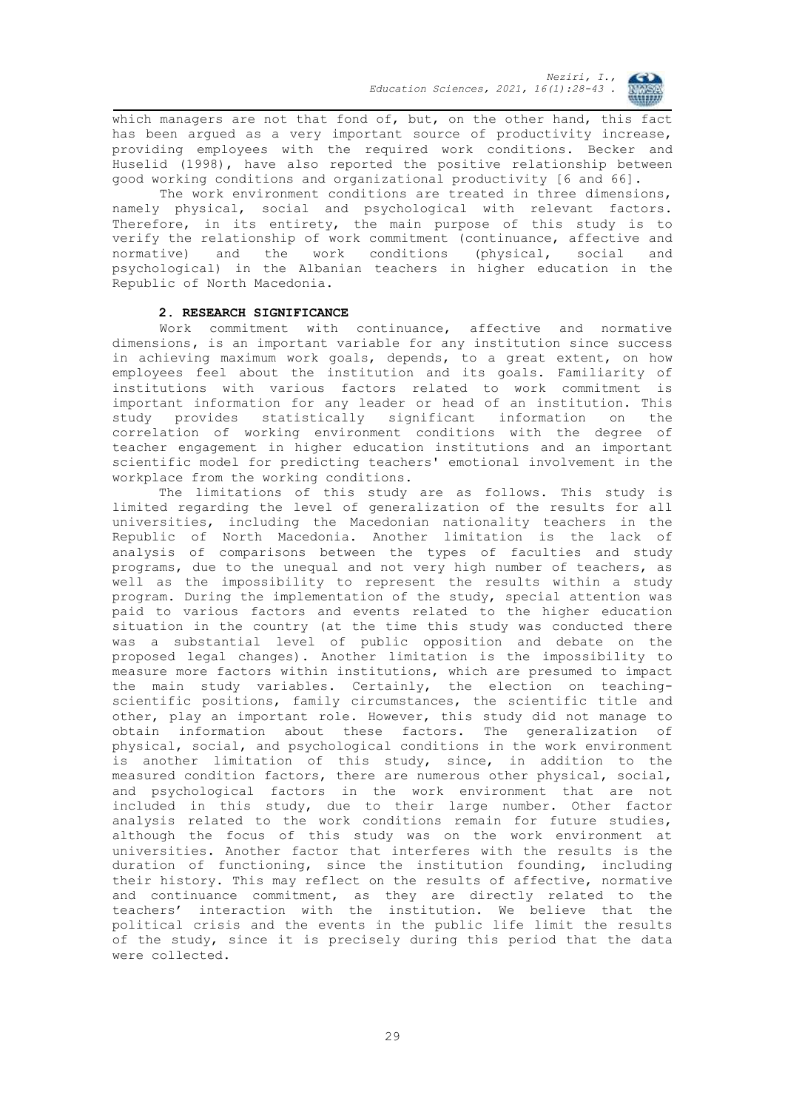

which managers are not that fond of, but, on the other hand, this fact has been argued as a very important source of productivity increase, providing employees with the required work conditions. Becker and Huselid (1998), have also reported the positive relationship between good working conditions and organizational productivity [6 and 66].

The work environment conditions are treated in three dimensions, namely physical, social and psychological with relevant factors. Therefore, in its entirety, the main purpose of this study is to verify the relationship of work commitment (continuance, affective and normative) and the work conditions (physical, social and psychological) in the Albanian teachers in higher education in the Republic of North Macedonia.

#### **2. RESEARCH SIGNIFICANCE**

Work commitment with continuance, affective and normative dimensions**,** is an important variable for any institution since success in achieving maximum work goals, depends, to a great extent, on how employees feel about the institution and its goals. Familiarity of institutions with various factors related to work commitment is important information for any leader or head of an institution. This study provides statistically significant information on the correlation of working environment conditions with the degree of teacher engagement in higher education institutions and an important scientific model for predicting teachers' emotional involvement in the workplace from the working conditions.

The limitations of this study are as follows. This study is limited regarding the level of generalization of the results for all universities, including the Macedonian nationality teachers in the Republic of North Macedonia. Another limitation is the lack of analysis of comparisons between the types of faculties and study programs, due to the unequal and not very high number of teachers, as well as the impossibility to represent the results within a study program. During the implementation of the study, special attention was paid to various factors and events related to the higher education situation in the country (at the time this study was conducted there was a substantial level of public opposition and debate on the proposed legal changes). Another limitation is the impossibility to measure more factors within institutions, which are presumed to impact the main study variables. Certainly, the election on teachingscientific positions, family circumstances, the scientific title and other, play an important role. However, this study did not manage to obtain information about these factors. The generalization of physical, social, and psychological conditions in the work environment is another limitation of this study, since, in addition to the measured condition factors, there are numerous other physical, social, and psychological factors in the work environment that are not included in this study, due to their large number. Other factor analysis related to the work conditions remain for future studies, although the focus of this study was on the work environment at universities. Another factor that interferes with the results is the duration of functioning, since the institution founding, including their history. This may reflect on the results of affective, normative and continuance commitment, as they are directly related to the teachers' interaction with the institution. We believe that the political crisis and the events in the public life limit the results of the study, since it is precisely during this period that the data were collected.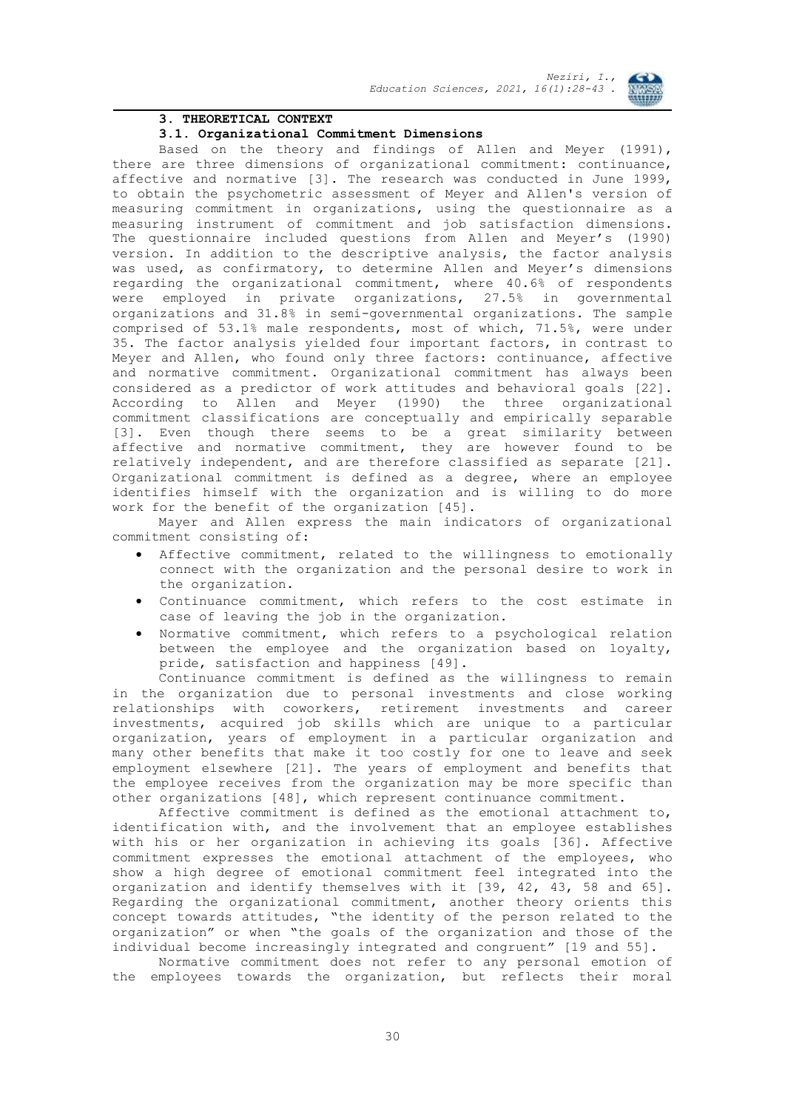

#### **3. THEORETICAL CONTEXT**

#### **3.1. Organizational Commitment Dimensions**

Based on the theory and findings of Allen and Meyer (1991), there are three dimensions of organizational commitment: continuance, affective and normative [3]. The research was conducted in June 1999, to obtain the psychometric assessment of Meyer and Allen's version of measuring commitment in organizations, using the questionnaire as a measuring instrument of commitment and job satisfaction dimensions. The questionnaire included questions from Allen and Meyer's (1990) version. In addition to the descriptive analysis, the factor analysis was used, as confirmatory, to determine Allen and Meyer's dimensions regarding the organizational commitment, where 40.6% of respondents were employed in private organizations, 27.5% in governmental organizations and 31.8% in semi-governmental organizations. The sample comprised of 53.1% male respondents, most of which, 71.5%, were under 35. The factor analysis yielded four important factors, in contrast to Meyer and Allen, who found only three factors: continuance, affective and normative commitment. Organizational commitment has always been considered as a predictor of work attitudes and behavioral goals [22]. According to Allen and Meyer (1990) the three organizational commitment classifications are conceptually and empirically separable [3]. Even though there seems to be a great similarity between affective and normative commitment, they are however found to be relatively independent, and are therefore classified as separate [21]. Organizational commitment is defined as a degree, where an employee identifies himself with the organization and is willing to do more work for the benefit of the organization [45].

Mayer and Allen express the main indicators of organizational commitment consisting of:

- Affective commitment, related to the willingness to emotionally connect with the organization and the personal desire to work in the organization.
- Continuance commitment, which refers to the cost estimate in case of leaving the job in the organization.
- Normative commitment, which refers to a psychological relation between the employee and the organization based on loyalty, pride, satisfaction and happiness [49].

Continuance commitment is defined as the willingness to remain in the organization due to personal investments and close working relationships with coworkers, retirement investments and career investments, acquired job skills which are unique to a particular organization, years of employment in a particular organization and many other benefits that make it too costly for one to leave and seek employment elsewhere [21]. The years of employment and benefits that the employee receives from the organization may be more specific than other organizations [48], which represent continuance commitment.

Affective commitment is defined as the emotional attachment to, identification with, and the involvement that an employee establishes with his or her organization in achieving its goals [36]. Affective commitment expresses the emotional attachment of the employees, who show a high degree of emotional commitment feel integrated into the organization and identify themselves with it [39, 42, 43, 58 and 65]. Regarding the organizational commitment, another theory orients this concept towards attitudes, "the identity of the person related to the organization" or when "the goals of the organization and those of the individual become increasingly integrated and congruent" [19 and 55].

Normative commitment does not refer to any personal emotion of the employees towards the organization, but reflects their moral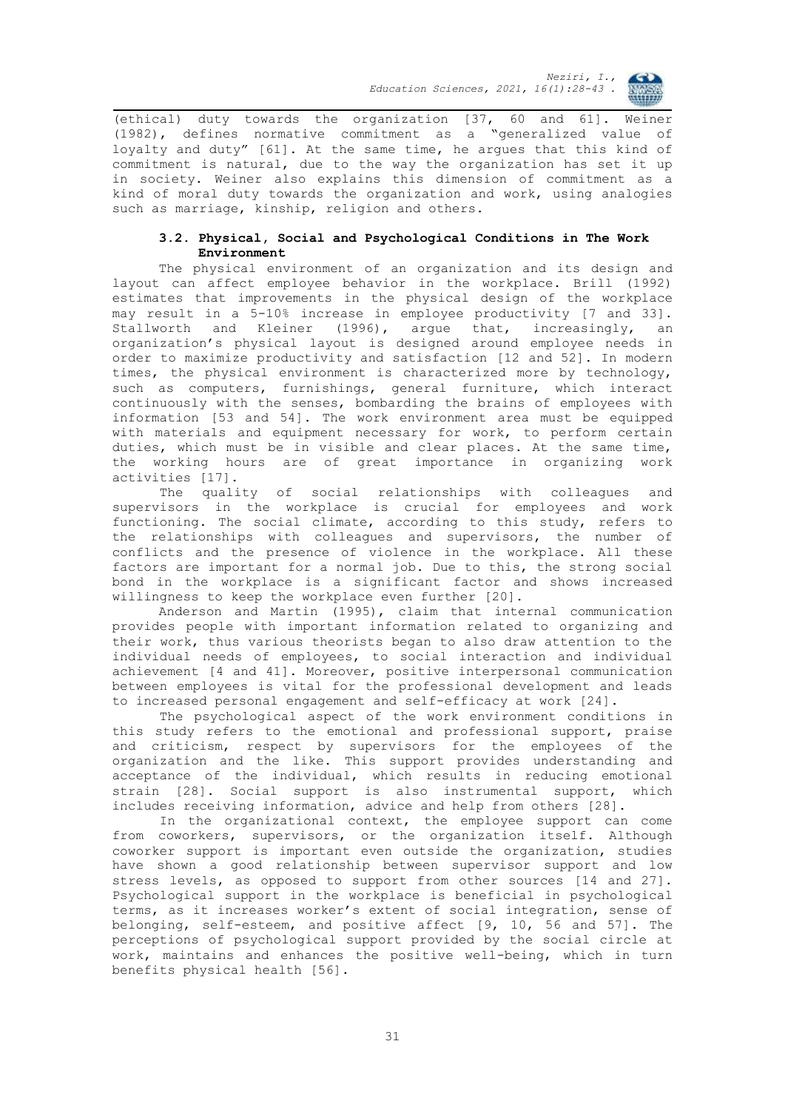(ethical) duty towards the organization [37, 60 and 61]. Weiner (1982), defines normative commitment as a "generalized value of loyalty and duty" [61]. At the same time, he argues that this kind of commitment is natural, due to the way the organization has set it up in society. Weiner also explains this dimension of commitment as a kind of moral duty towards the organization and work, using analogies such as marriage, kinship, religion and others.

## **3.2. Physical, Social and Psychological Conditions in The Work Environment**

The physical environment of an organization and its design and layout can affect employee behavior in the workplace. Brill (1992) estimates that improvements in the physical design of the workplace may result in a 5-10% increase in employee productivity [7 and 33]. Stallworth and Kleiner (1996), argue that, increasingly, an organization's physical layout is designed around employee needs in order to maximize productivity and satisfaction [12 and 52]. In modern times, the physical environment is characterized more by technology, such as computers, furnishings, general furniture, which interact continuously with the senses, bombarding the brains of employees with information [53 and 54]. The work environment area must be equipped with materials and equipment necessary for work, to perform certain duties, which must be in visible and clear places. At the same time, the working hours are of great importance in organizing work activities [17].

The quality of social relationships with colleagues and supervisors in the workplace is crucial for employees and work functioning. The social climate, according to this study, refers to the relationships with colleagues and supervisors, the number of conflicts and the presence of violence in the workplace. All these factors are important for a normal job. Due to this, the strong social bond in the workplace is a significant factor and shows increased willingness to keep the workplace even further [20].

Anderson and Martin (1995), claim that internal communication provides people with important information related to organizing and their work, thus various theorists began to also draw attention to the individual needs of employees, to social interaction and individual achievement [4 and 41]. Moreover, positive interpersonal communication between employees is vital for the professional development and leads to increased personal engagement and self-efficacy at work [24].

The psychological aspect of the work environment conditions in this study refers to the emotional and professional support, praise and criticism, respect by supervisors for the employees of the organization and the like. This support provides understanding and acceptance of the individual, which results in reducing emotional strain [28]. Social support is also instrumental support, which includes receiving information, advice and help from others [28].

In the organizational context, the employee support can come from coworkers, supervisors, or the organization itself. Although coworker support is important even outside the organization, studies have shown a good relationship between supervisor support and low stress levels, as opposed to support from other sources [14 and 27]. Psychological support in the workplace is beneficial in psychological terms, as it increases worker's extent of social integration, sense of belonging, self-esteem, and positive affect [9, 10, 56 and 57]. The perceptions of psychological support provided by the social circle at work, maintains and enhances the positive well-being, which in turn benefits physical health [56].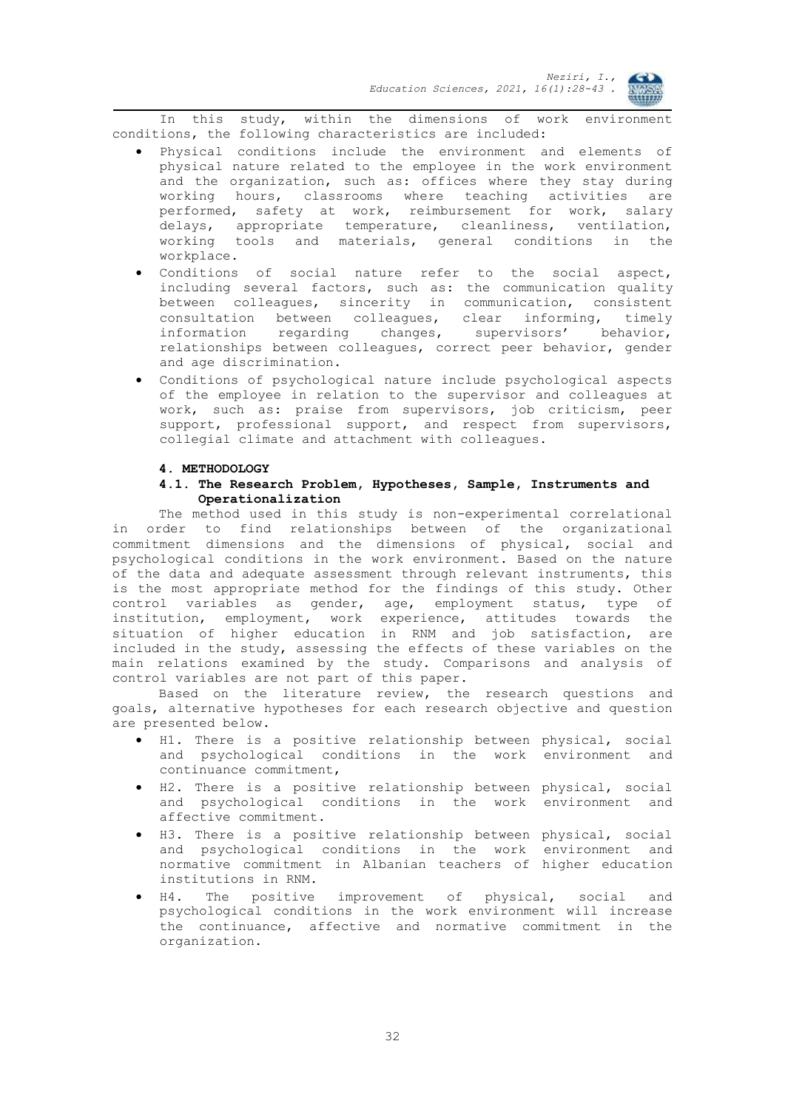In this study, within the dimensions of work environment conditions, the following characteristics are included:

- Physical conditions include the environment and elements of physical nature related to the employee in the work environment and the organization, such as: offices where they stay during working hours, classrooms where teaching activities are performed, safety at work, reimbursement for work, salary delays, appropriate temperature, cleanliness, ventilation, working tools and materials, general conditions in the workplace.
- Conditions of social nature refer to the social aspect, including several factors, such as: the communication quality between colleagues, sincerity in communication, consistent consultation between colleagues, clear informing, timely information regarding changes, supervisors' behavior, relationships between colleagues, correct peer behavior, gender and age discrimination.
- Conditions of psychological nature include psychological aspects of the employee in relation to the supervisor and colleagues at work, such as: praise from supervisors, job criticism, peer support, professional support, and respect from supervisors, collegial climate and attachment with colleagues.

### **4. METHODOLOGY**

### **4.1. The Research Problem, Hypotheses, Sample, Instruments and Operationalization**

The method used in this study is non-experimental correlational in order to find relationships between of the organizational commitment dimensions and the dimensions of physical, social and psychological conditions in the work environment. Based on the nature of the data and adequate assessment through relevant instruments, this is the most appropriate method for the findings of this study. Other control variables as gender, age, employment status, type of institution, employment, work experience, attitudes towards the situation of higher education in RNM and job satisfaction, are included in the study, assessing the effects of these variables on the main relations examined by the study. Comparisons and analysis of control variables are not part of this paper.

Based on the literature review, the research questions and goals, alternative hypotheses for each research objective and question are presented below.

- H1. There is a positive relationship between physical, social and psychological conditions in the work environment and continuance commitment,
- H2. There is a positive relationship between physical, social and psychological conditions in the work environment and affective commitment.
- H3. There is a positive relationship between physical, social and psychological conditions in the work environment and normative commitment in Albanian teachers of higher education institutions in RNM.
- H4. The positive improvement of physical, social and psychological conditions in the work environment will increase the continuance, affective and normative commitment in the organization.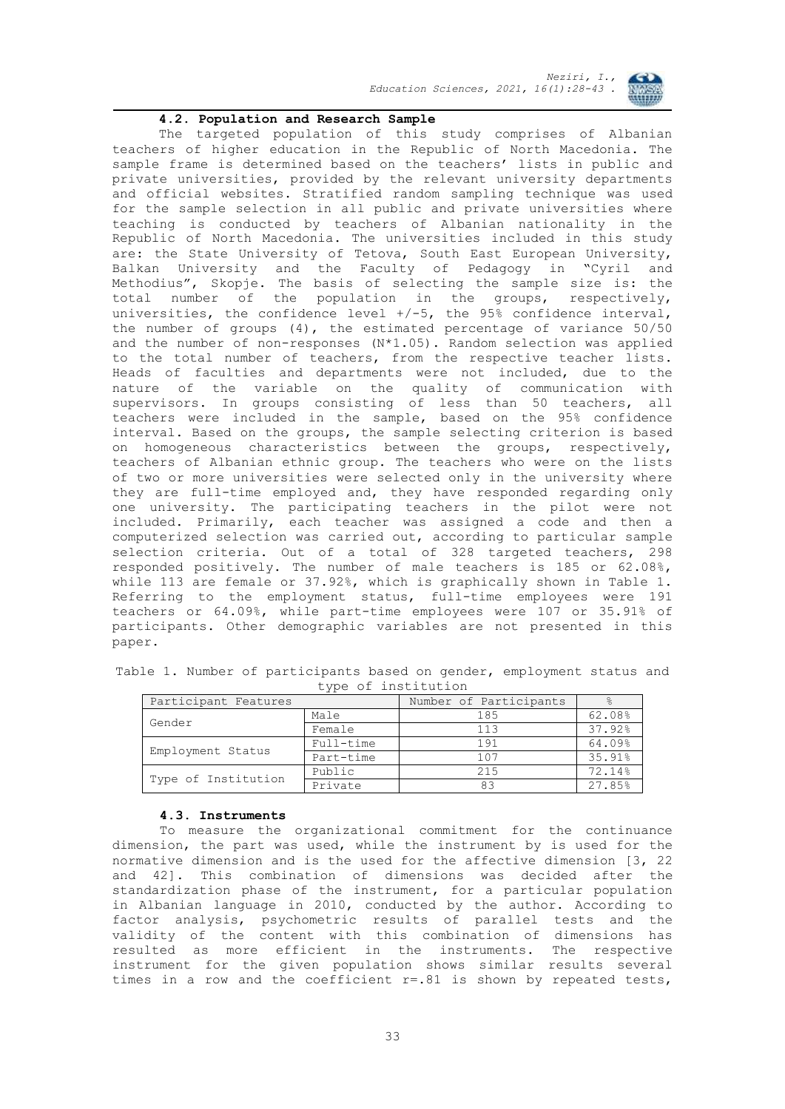#### **4.2. Population and Research Sample**

The targeted population of this study comprises of Albanian teachers of higher education in the Republic of North Macedonia. The sample frame is determined based on the teachers' lists in public and private universities, provided by the relevant university departments and official websites. Stratified random sampling technique was used for the sample selection in all public and private universities where teaching is conducted by teachers of Albanian nationality in the Republic of North Macedonia. The universities included in this study are: the State University of Tetova, South East European University, Balkan University and the Faculty of Pedagogy in "Cyril and Methodius", Skopje. The basis of selecting the sample size is: the total number of the population in the groups, respectively, universities, the confidence level  $+/-5$ , the 95% confidence interval, the number of groups  $(4)$ , the estimated percentage of variance  $50/50$ and the number of non-responses (N\*1.05). Random selection was applied to the total number of teachers, from the respective teacher lists. Heads of faculties and departments were not included, due to the nature of the variable on the quality of communication with supervisors. In groups consisting of less than 50 teachers, all teachers were included in the sample, based on the 95% confidence interval. Based on the groups, the sample selecting criterion is based on homogeneous characteristics between the groups, respectively, teachers of Albanian ethnic group. The teachers who were on the lists of two or more universities were selected only in the university where they are full-time employed and, they have responded regarding only one university. The participating teachers in the pilot were not included. Primarily, each teacher was assigned a code and then a computerized selection was carried out, according to particular sample selection criteria. Out of a total of 328 targeted teachers, 298 responded positively. The number of male teachers is 185 or 62.08%, while 113 are female or 37.92%, which is graphically shown in Table 1. Referring to the employment status, full-time employees were 191 teachers or 64.09%, while part-time employees were 107 or 35.91% of participants. Other demographic variables are not presented in this paper.

| Participant Features |           | Number of Participants |        |
|----------------------|-----------|------------------------|--------|
| Gender               | Male      | 185                    | 62.08% |
|                      | Female    | 113                    | 37.92% |
| Employment Status    | Full-time | 191                    | 64.09% |
|                      | Part-time | 107                    | 35.91% |
| Type of Institution  | Public    | 215                    | 72.14% |
|                      | Private   |                        | 27.85% |

Table 1. Number of participants based on gender, employment status and type of institution

#### **4.3. Instruments**

To measure the organizational commitment for the continuance dimension, the part was used, while the instrument by is used for the normative dimension and is the used for the affective dimension [3, 22 and 42]. This combination of dimensions was decided after the standardization phase of the instrument, for a particular population in Albanian language in 2010, conducted by the author. According to factor analysis, psychometric results of parallel tests and the validity of the content with this combination of dimensions has resulted as more efficient in the instruments. The respective instrument for the given population shows similar results several times in a row and the coefficient  $r=.81$  is shown by repeated tests,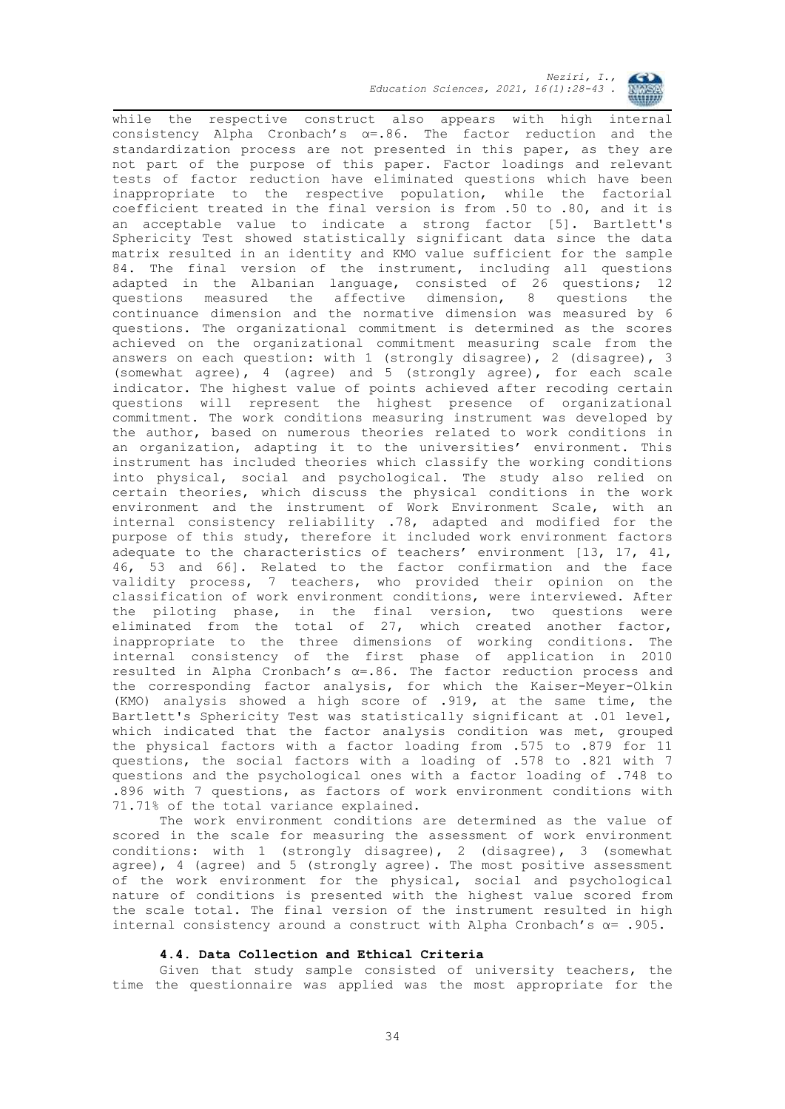

while the respective construct also appears with high internal consistency Alpha Cronbach's α=.86. The factor reduction and the standardization process are not presented in this paper, as they are not part of the purpose of this paper. Factor loadings and relevant tests of factor reduction have eliminated questions which have been inappropriate to the respective population, while the factorial coefficient treated in the final version is from .50 to .80, and it is an acceptable value to indicate a strong factor [5]. Bartlett's Sphericity Test showed statistically significant data since the data matrix resulted in an identity and KMO value sufficient for the sample 84. The final version of the instrument, including all questions adapted in the Albanian language, consisted of 26 questions; 12 questions measured the affective dimension, 8 questions the continuance dimension and the normative dimension was measured by 6 questions. The organizational commitment is determined as the scores achieved on the organizational commitment measuring scale from the answers on each question: with 1 (strongly disagree), 2 (disagree), 3 (somewhat agree), 4 (agree) and 5 (strongly agree), for each scale indicator. The highest value of points achieved after recoding certain questions will represent the highest presence of organizational commitment. The work conditions measuring instrument was developed by the author, based on numerous theories related to work conditions in an organization, adapting it to the universities' environment. This instrument has included theories which classify the working conditions into physical, social and psychological. The study also relied on certain theories, which discuss the physical conditions in the work environment and the instrument of Work Environment Scale, with an internal consistency reliability .78, adapted and modified for the purpose of this study, therefore it included work environment factors adequate to the characteristics of teachers' environment  $[13, 17, 41,$ 46, 53 and 66]. Related to the factor confirmation and the face validity process, 7 teachers, who provided their opinion on the classification of work environment conditions, were interviewed. After the piloting phase, in the final version, two questions were eliminated from the total of 27, which created another factor, inappropriate to the three dimensions of working conditions. The internal consistency of the first phase of application in 2010 resulted in Alpha Cronbach's α=.86. The factor reduction process and the corresponding factor analysis, for which the Kaiser-Meyer-Olkin (KMO) analysis showed a high score of .919, at the same time, the Bartlett's Sphericity Test was statistically significant at .01 level, which indicated that the factor analysis condition was met, grouped the physical factors with a factor loading from .575 to .879 for 11 questions, the social factors with a loading of .578 to .821 with 7 questions and the psychological ones with a factor loading of .748 to .896 with 7 questions, as factors of work environment conditions with 71.71% of the total variance explained.

The work environment conditions are determined as the value of scored in the scale for measuring the assessment of work environment conditions: with 1 (strongly disagree), 2 (disagree), 3 (somewhat agree), 4 (agree) and 5 (strongly agree). The most positive assessment of the work environment for the physical, social and psychological nature of conditions is presented with the highest value scored from the scale total. The final version of the instrument resulted in high internal consistency around a construct with Alpha Cronbach's  $\alpha =$  .905.

#### **4.4. Data Collection and Ethical Criteria**

Given that study sample consisted of university teachers, the time the questionnaire was applied was the most appropriate for the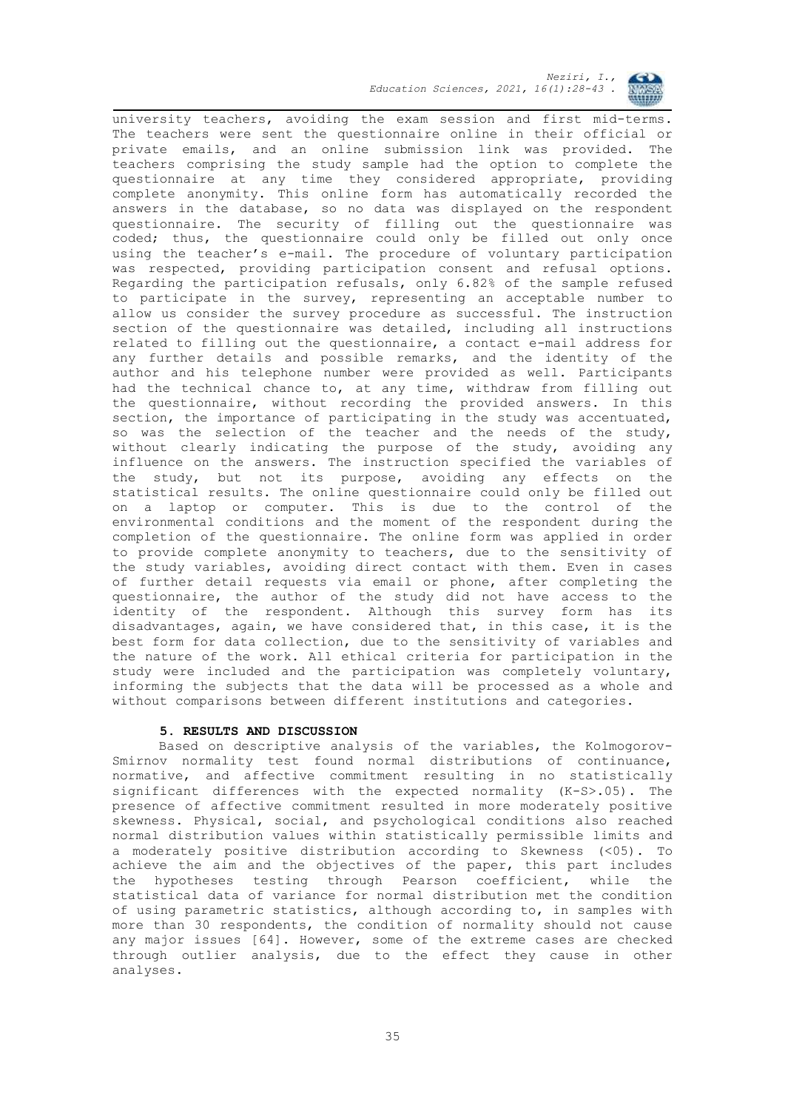

university teachers, avoiding the exam session and first mid-terms. The teachers were sent the questionnaire online in their official or private emails, and an online submission link was provided. The teachers comprising the study sample had the option to complete the questionnaire at any time they considered appropriate, providing complete anonymity. This online form has automatically recorded the answers in the database, so no data was displayed on the respondent questionnaire. The security of filling out the questionnaire was coded; thus, the questionnaire could only be filled out only once using the teacher's e-mail. The procedure of voluntary participation was respected, providing participation consent and refusal options. Regarding the participation refusals, only 6.82% of the sample refused to participate in the survey, representing an acceptable number to allow us consider the survey procedure as successful. The instruction section of the questionnaire was detailed, including all instructions related to filling out the questionnaire, a contact e-mail address for any further details and possible remarks, and the identity of the author and his telephone number were provided as well. Participants had the technical chance to, at any time, withdraw from filling out the questionnaire, without recording the provided answers. In this section, the importance of participating in the study was accentuated, so was the selection of the teacher and the needs of the study, without clearly indicating the purpose of the study, avoiding any influence on the answers. The instruction specified the variables of the study, but not its purpose, avoiding any effects on the statistical results. The online questionnaire could only be filled out on a laptop or computer. This is due to the control of the environmental conditions and the moment of the respondent during the completion of the questionnaire. The online form was applied in order to provide complete anonymity to teachers, due to the sensitivity of the study variables, avoiding direct contact with them. Even in cases of further detail requests via email or phone, after completing the questionnaire, the author of the study did not have access to the identity of the respondent. Although this survey form has its disadvantages, again, we have considered that, in this case, it is the best form for data collection, due to the sensitivity of variables and the nature of the work. All ethical criteria for participation in the study were included and the participation was completely voluntary, informing the subjects that the data will be processed as a whole and without comparisons between different institutions and categories.

#### **5. RESULTS AND DISCUSSION**

Based on descriptive analysis of the variables, the Kolmogorov-Smirnov normality test found normal distributions of continuance, normative, and affective commitment resulting in no statistically significant differences with the expected normality (K-S>.05). The presence of affective commitment resulted in more moderately positive skewness. Physical, social, and psychological conditions also reached normal distribution values within statistically permissible limits and a moderately positive distribution according to Skewness (<05). To achieve the aim and the objectives of the paper, this part includes the hypotheses testing through Pearson coefficient, while the statistical data of variance for normal distribution met the condition of using parametric statistics, although according to, in samples with more than 30 respondents, the condition of normality should not cause any major issues [64]. However, some of the extreme cases are checked through outlier analysis, due to the effect they cause in other analyses.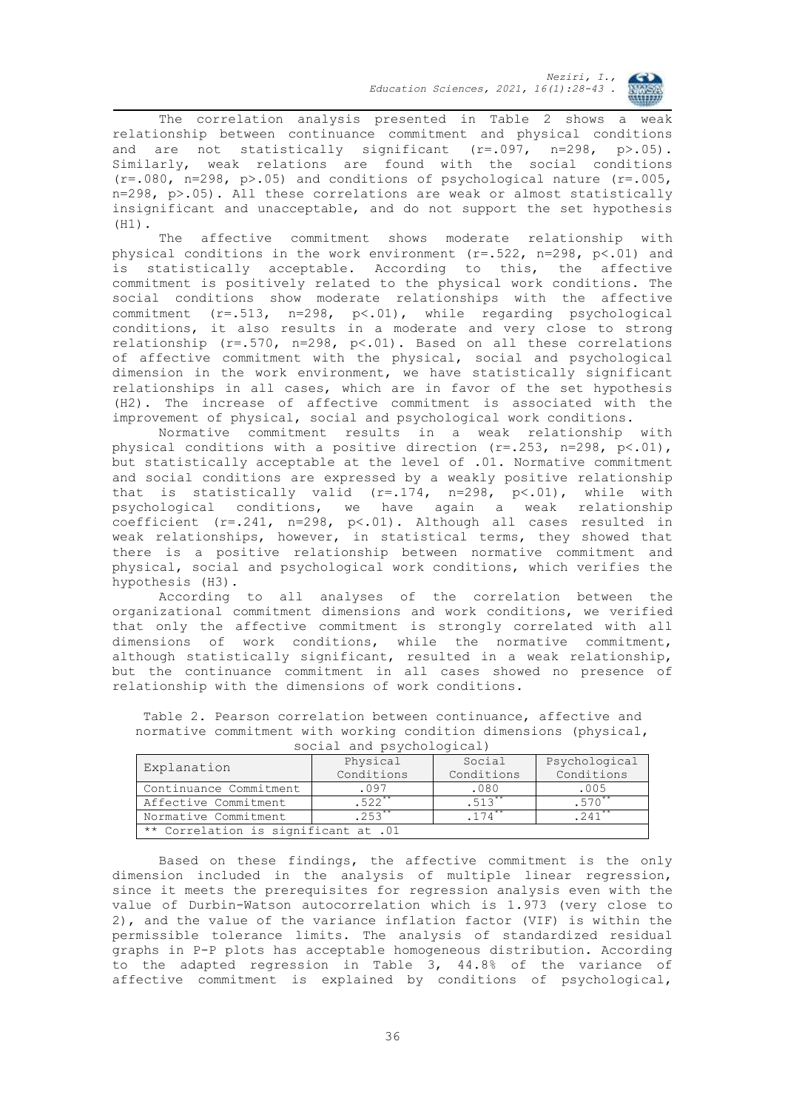

The correlation analysis presented in Table 2 shows a weak relationship between continuance commitment and physical conditions and are not statistically significant (r=.097, n=298, p>.05). Similarly, weak relations are found with the social conditions (r=.080, n=298, p>.05) and conditions of psychological nature (r=.005, n=298, p>.05). All these correlations are weak or almost statistically insignificant and unacceptable, and do not support the set hypothesis (H1).

The affective commitment shows moderate relationship with physical conditions in the work environment  $(r=.522, n=298, p<.01)$  and is statistically acceptable. According to this, the affective commitment is positively related to the physical work conditions. The social conditions show moderate relationships with the affective commitment (r=.513, n=298, p<.01), while regarding psychological conditions, it also results in a moderate and very close to strong relationship (r=.570, n=298, p<.01). Based on all these correlations of affective commitment with the physical, social and psychological dimension in the work environment, we have statistically significant relationships in all cases, which are in favor of the set hypothesis (H2). The increase of affective commitment is associated with the improvement of physical, social and psychological work conditions.

Normative commitment results in a weak relationship with physical conditions with a positive direction  $(r=.253, n=298, p<.01)$ , but statistically acceptable at the level of .01. Normative commitment and social conditions are expressed by a weakly positive relationship that is statistically valid  $(r=.174, n=298, p<.01)$ , while with psychological conditions, we have again a weak relationship coefficient  $(r=.241, n=.298, p<.01)$ . Although all cases resulted in weak relationships, however, in statistical terms, they showed that there is a positive relationship between normative commitment and physical, social and psychological work conditions, which verifies the hypothesis (H3).

According to all analyses of the correlation between the organizational commitment dimensions and work conditions, we verified that only the affective commitment is strongly correlated with all dimensions of work conditions, while the normative commitment, although statistically significant, resulted in a weak relationship, but the continuance commitment in all cases showed no presence of relationship with the dimensions of work conditions.

| SOCIAL AND PSYCNOIOGICAL)            |            |            |                   |  |  |  |
|--------------------------------------|------------|------------|-------------------|--|--|--|
| Explanation                          | Physical   | Social     | Psychological     |  |  |  |
|                                      | Conditions | Conditions | Conditions        |  |  |  |
| Continuance Commitment               | .097       | .080       | .005              |  |  |  |
| Affective Commitment                 | $.522***$  | 513        | .570 <sup>°</sup> |  |  |  |
| Normative Commitment                 | $.253***$  | 174        |                   |  |  |  |
| ** Correlation is significant at .01 |            |            |                   |  |  |  |

Table 2. Pearson correlation between continuance, affective and normative commitment with working condition dimensions (physical, social and psychological)

Based on these findings, the affective commitment is the only dimension included in the analysis of multiple linear regression, since it meets the prerequisites for regression analysis even with the value of Durbin-Watson autocorrelation which is 1.973 (very close to 2), and the value of the variance inflation factor (VIF) is within the permissible tolerance limits. The analysis of standardized residual graphs in P-P plots has acceptable homogeneous distribution. According to the adapted regression in Table 3, 44.8% of the variance of affective commitment is explained by conditions of psychological,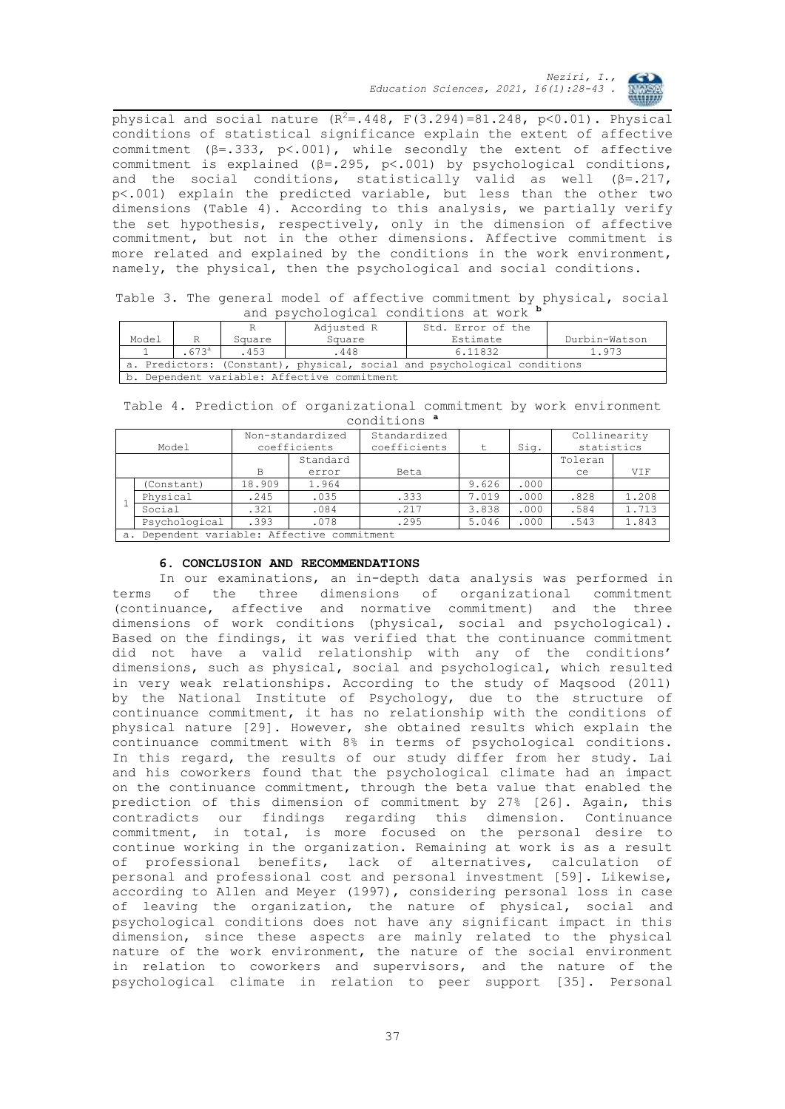physical and social nature  $(R^2 = .448, F(3.294) = 81.248, p < 0.01)$ . Physical conditions of statistical significance explain the extent of affective commitment (β=.333, p<.001), while secondly the extent of affective commitment is explained (β=.295, p<.001) by psychological conditions, and the social conditions, statistically valid as well  $(\beta = .217)$ , p<.001) explain the predicted variable, but less than the other two dimensions (Table 4). According to this analysis, we partially verify the set hypothesis, respectively, only in the dimension of affective commitment, but not in the other dimensions. Affective commitment is more related and explained by the conditions in the work environment, namely, the physical, then the psychological and social conditions.

Table 3. The general model of affective commitment by physical, social and psychological conditions at work **<sup>b</sup>**

|                                             |                                                                          | R      | Adjusted R | Std. Error of the |               |  |  |
|---------------------------------------------|--------------------------------------------------------------------------|--------|------------|-------------------|---------------|--|--|
| Model                                       |                                                                          | Square | Square     | Estimate          | Durbin-Watson |  |  |
|                                             | .673 <sup>a</sup>                                                        | .453   | .448       | 6.11832           | 1.973         |  |  |
|                                             | a. Predictors: (Constant), physical, social and psychological conditions |        |            |                   |               |  |  |
| b. Dependent variable: Affective commitment |                                                                          |        |            |                   |               |  |  |

Table 4. Prediction of organizational commitment by work environment conditions **<sup>a</sup>**

|       |                                             | Non-standardized |          | Standardized |       |      | Collinearity |       |
|-------|---------------------------------------------|------------------|----------|--------------|-------|------|--------------|-------|
| Model |                                             | coefficients     |          | coefficients |       | Sig. | statistics   |       |
|       |                                             |                  | Standard |              |       |      | Toleran      |       |
|       |                                             | B                | error    | Beta         |       |      | ce.          | VTF   |
|       | (Constant)                                  | 18.909           | 1.964    |              | 9.626 | .000 |              |       |
|       | Physical                                    | .245             | .035     | .333         | 7.019 | .000 | .828         | 1.208 |
|       | Social                                      | .321             | .084     | .217         | 3.838 | .000 | .584         | 1.713 |
|       | Psychological                               | .393             | .078     | .295         | 5.046 | .000 | .543         | 1.843 |
|       | a. Dependent variable: Affective commitment |                  |          |              |       |      |              |       |

# **6. CONCLUSION AND RECOMMENDATIONS**

In our examinations, an in-depth data analysis was performed in terms of the three dimensions of organizational commitment (continuance, affective and normative commitment) and the three dimensions of work conditions (physical, social and psychological). Based on the findings, it was verified that the continuance commitment did not have a valid relationship with any of the conditions' dimensions, such as physical, social and psychological, which resulted in very weak relationships. According to the study of Maqsood (2011) by the National Institute of Psychology, due to the structure of continuance commitment, it has no relationship with the conditions of physical nature [29]. However, she obtained results which explain the continuance commitment with 8% in terms of psychological conditions. In this regard, the results of our study differ from her study. Lai and his coworkers found that the psychological climate had an impact on the continuance commitment, through the beta value that enabled the prediction of this dimension of commitment by 27% [26]. Again, this contradicts our findings regarding this dimension. Continuance commitment, in total, is more focused on the personal desire to continue working in the organization. Remaining at work is as a result of professional benefits, lack of alternatives, calculation of personal and professional cost and personal investment [59]. Likewise, according to Allen and Meyer (1997), considering personal loss in case of leaving the organization, the nature of physical, social and psychological conditions does not have any significant impact in this dimension, since these aspects are mainly related to the physical nature of the work environment, the nature of the social environment in relation to coworkers and supervisors, and the nature of the psychological climate in relation to peer support [35]. Personal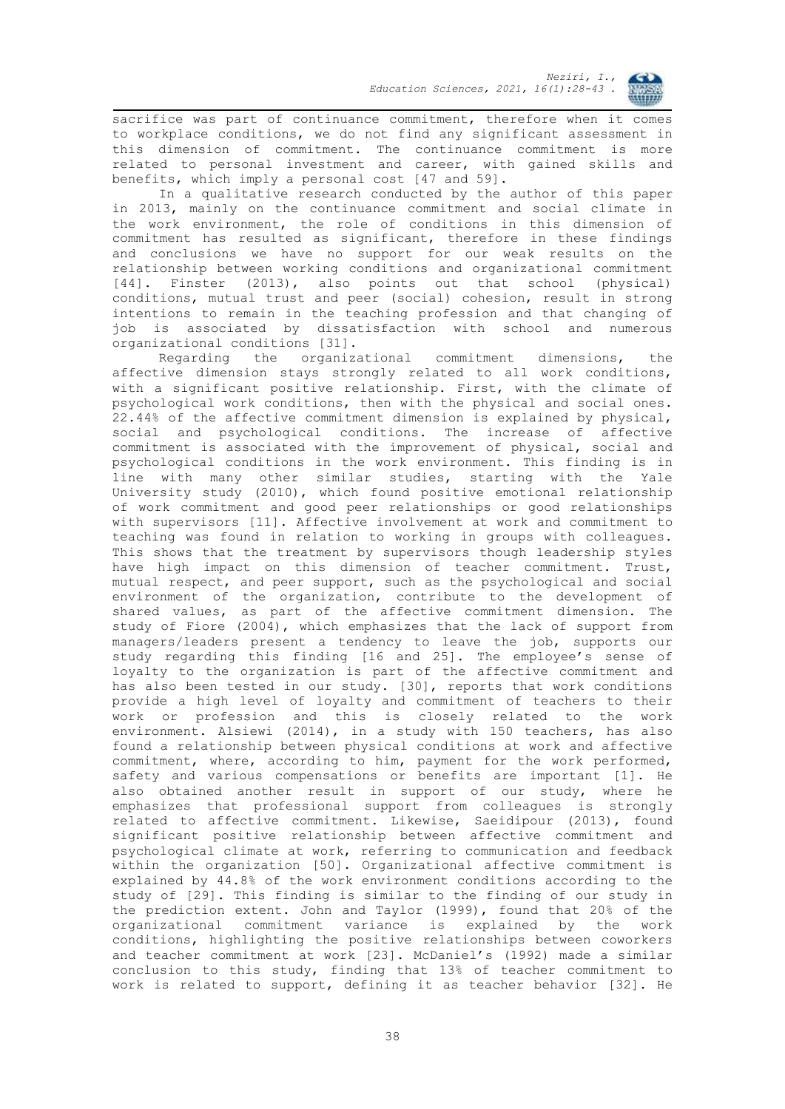

sacrifice was part of continuance commitment, therefore when it comes to workplace conditions, we do not find any significant assessment in this dimension of commitment. The continuance commitment is more related to personal investment and career, with gained skills and benefits, which imply a personal cost [47 and 59].

In a qualitative research conducted by the author of this paper in 2013, mainly on the continuance commitment and social climate in the work environment, the role of conditions in this dimension of commitment has resulted as significant, therefore in these findings and conclusions we have no support for our weak results on the relationship between working conditions and organizational commitment [44]. Finster (2013), also points out that school (physical) conditions, mutual trust and peer (social) cohesion, result in strong intentions to remain in the teaching profession and that changing of job is associated by dissatisfaction with school and numerous organizational conditions [31].

Regarding the organizational commitment dimensions, the affective dimension stays strongly related to all work conditions, with a significant positive relationship. First, with the climate of psychological work conditions, then with the physical and social ones. 22.44% of the affective commitment dimension is explained by physical, social and psychological conditions. The increase of affective commitment is associated with the improvement of physical, social and psychological conditions in the work environment. This finding is in line with many other similar studies, starting with the Yale University study (2010), which found positive emotional relationship of work commitment and good peer relationships or good relationships with supervisors [11]. Affective involvement at work and commitment to teaching was found in relation to working in groups with colleagues. This shows that the treatment by supervisors though leadership styles have high impact on this dimension of teacher commitment. Trust, mutual respect, and peer support, such as the psychological and social environment of the organization, contribute to the development of shared values, as part of the affective commitment dimension. The study of Fiore (2004), which emphasizes that the lack of support from managers/leaders present a tendency to leave the job, supports our study regarding this finding [16 and 25]. The employee's sense of loyalty to the organization is part of the affective commitment and has also been tested in our study. [30], reports that work conditions provide a high level of loyalty and commitment of teachers to their work or profession and this is closely related to the work environment. Alsiewi (2014), in a study with 150 teachers, has also found a relationship between physical conditions at work and affective commitment, where, according to him, payment for the work performed, safety and various compensations or benefits are important [1]. He also obtained another result in support of our study, where he emphasizes that professional support from colleagues is strongly related to affective commitment. Likewise, Saeidipour (2013), found significant positive relationship between affective commitment and psychological climate at work, referring to communication and feedback within the organization [50]. Organizational affective commitment is explained by 44.8% of the work environment conditions according to the study of [29]. This finding is similar to the finding of our study in the prediction extent. John and Taylor (1999), found that 20% of the organizational commitment variance is explained by the work conditions, highlighting the positive relationships between coworkers and teacher commitment at work [23]. McDaniel's (1992) made a similar conclusion to this study, finding that 13% of teacher commitment to work is related to support, defining it as teacher behavior [32]. He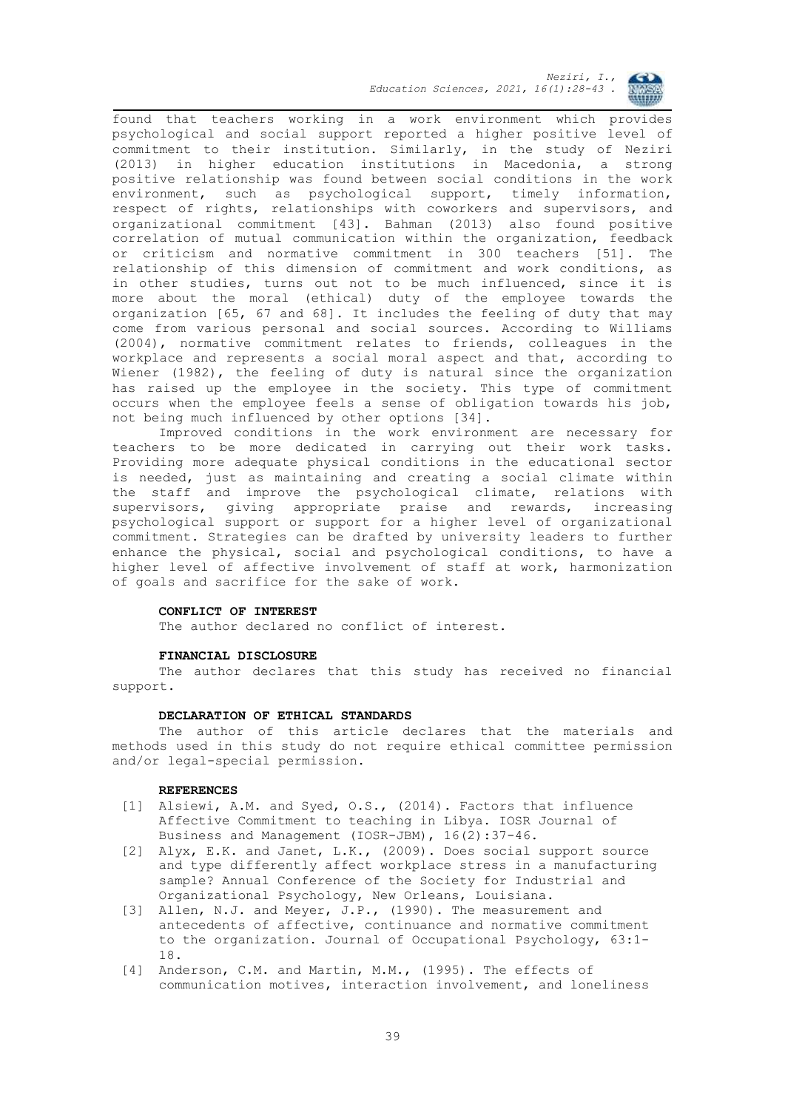found that teachers working in a work environment which provides psychological and social support reported a higher positive level of commitment to their institution. Similarly, in the study of Neziri (2013) in higher education institutions in Macedonia, a strong positive relationship was found between social conditions in the work environment, such as psychological support, timely information, respect of rights, relationships with coworkers and supervisors, and organizational commitment [43]. Bahman (2013) also found positive correlation of mutual communication within the organization, feedback or criticism and normative commitment in 300 teachers [51]. The relationship of this dimension of commitment and work conditions, as in other studies, turns out not to be much influenced, since it is more about the moral (ethical) duty of the employee towards the organization [65, 67 and 68]. It includes the feeling of duty that may come from various personal and social sources. According to Williams (2004), normative commitment relates to friends, colleagues in the workplace and represents a social moral aspect and that, according to Wiener (1982), the feeling of duty is natural since the organization has raised up the employee in the society. This type of commitment occurs when the employee feels a sense of obligation towards his job, not being much influenced by other options [34].

Improved conditions in the work environment are necessary for teachers to be more dedicated in carrying out their work tasks. Providing more adequate physical conditions in the educational sector is needed, just as maintaining and creating a social climate within the staff and improve the psychological climate, relations with supervisors, giving appropriate praise and rewards, increasing psychological support or support for a higher level of organizational commitment. Strategies can be drafted by university leaders to further enhance the physical, social and psychological conditions, to have a higher level of affective involvement of staff at work, harmonization of goals and sacrifice for the sake of work.

### **CONFLICT OF INTEREST**

The author declared no conflict of interest.

#### **FINANCIAL DISCLOSURE**

The author declares that this study has received no financial support.

#### **DECLARATION OF ETHICAL STANDARDS**

The author of this article declares that the materials and methods used in this study do not require ethical committee permission and/or legal-special permission.

#### **REFERENCES**

- [1] Alsiewi, A.M. and Syed, O.S., (2014). Factors that influence Affective Commitment to teaching in Libya. IOSR Journal of Business and Management (IOSR-JBM), 16(2):37-46.
- [2] Alyx, E.K. and Janet, L.K., (2009). Does social support source and type differently affect workplace stress in a manufacturing sample? Annual Conference of the Society for Industrial and Organizational Psychology, New Orleans, Louisiana.
- [3] Allen, N.J. and Meyer, J.P., (1990). The measurement and antecedents of affective, continuance and normative commitment to the organization. Journal of Occupational Psychology, 63:1- 18.
- [4] Anderson, C.M. and Martin, M.M., (1995). The effects of communication motives, interaction involvement, and loneliness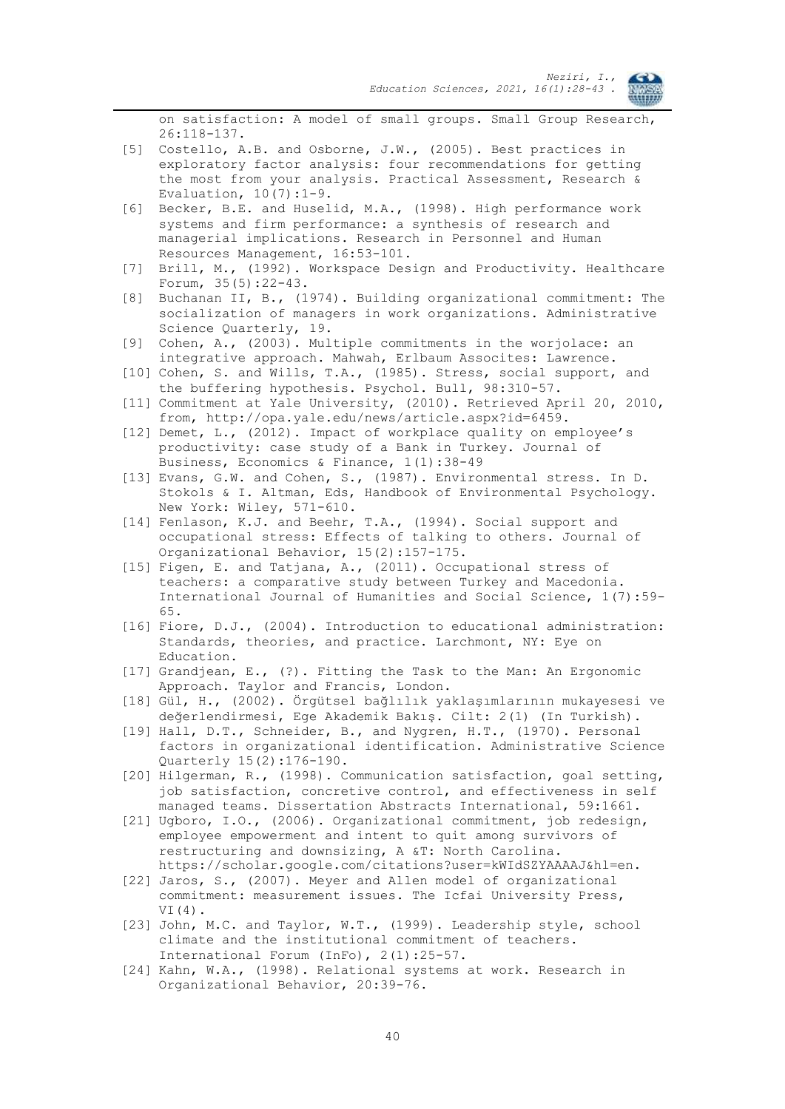on satisfaction: A model of small groups. Small Group Research, 26:118-137.

- [5] Costello, A.B. and Osborne, J.W., (2005). Best practices in exploratory factor analysis: four recommendations for getting the most from your analysis. Practical Assessment, Research & Evaluation, 10(7):1-9.
- [6] Becker, B.E. and Huselid, M.A., (1998). High performance work systems and firm performance: a synthesis of research and managerial implications. Research in Personnel and Human Resources Management, 16:53-101.
- [7] Brill, M., (1992). Workspace Design and Productivity. Healthcare Forum, 35(5):22-43.
- [8] Buchanan II, B., (1974). Building organizational commitment: The socialization of managers in work organizations. Administrative Science Quarterly, 19.
- [9] Cohen, A., (2003). Multiple commitments in the worjolace: an integrative approach. Mahwah, Erlbaum Assocites: Lawrence.
- [10] Cohen, S. and Wills, T.A., (1985). Stress, social support, and the buffering hypothesis. Psychol. Bull, 98:310-57.
- [11] Commitment at Yale University, (2010). Retrieved April 20, 2010, from, http://opa.yale.edu/news/article.aspx?id=6459.
- [12] Demet, L., (2012). Impact of workplace quality on employee's productivity: case study of a Bank in Turkey. Journal of Business, Economics & Finance, 1(1):38-49
- [13] Evans, G.W. and Cohen, S., (1987). Environmental stress. In D. Stokols & I. Altman, Eds, Handbook of Environmental Psychology. New York: Wiley, 571-610.
- [14] Fenlason, K.J. and Beehr, T.A., (1994). Social support and occupational stress: Effects of talking to others. Journal of Organizational Behavior, 15(2):157-175.
- [15] Figen, E. and Tatjana, A., (2011). Occupational stress of teachers: a comparative study between Turkey and Macedonia. International Journal of Humanities and Social Science, 1(7):59- 65.
- [16] Fiore, D.J., (2004). Introduction to educational administration: Standards, theories, and practice. Larchmont, NY: Eye on Education.
- [17] Grandjean, E., (?). Fitting the Task to the Man: An Ergonomic Approach. Taylor and Francis, London.
- [18] Gül, H., (2002). Örgütsel bağlılık yaklaşımlarının mukayesesi ve değerlendirmesi, Ege Akademik Bakış. Cilt: 2(1) (In Turkish).
- [19] Hall, D.T., Schneider, B., and Nygren, H.T., (1970). Personal factors in organizational identification. Administrative Science Quarterly 15(2):176-190.
- [20] Hilgerman, R., (1998). Communication satisfaction, goal setting, job satisfaction, concretive control, and effectiveness in self managed teams. Dissertation Abstracts International, 59:1661.
- [21] Ugboro, I.O., (2006). Organizational commitment, job redesign, employee empowerment and intent to quit among survivors of restructuring and downsizing, A &T: North Carolina. https://scholar.google.com/citations?user=kWIdSZYAAAAJ&hl=en.
- [22] Jaros, S., (2007). Meyer and Allen model of organizational commitment: measurement issues. The Icfai University Press, VI(4).
- [23] John, M.C. and Taylor, W.T., (1999). Leadership style, school climate and the institutional commitment of teachers. International Forum (InFo), 2(1):25-57.
- [24] Kahn, W.A., (1998). Relational systems at work. Research in Organizational Behavior, 20:39-76.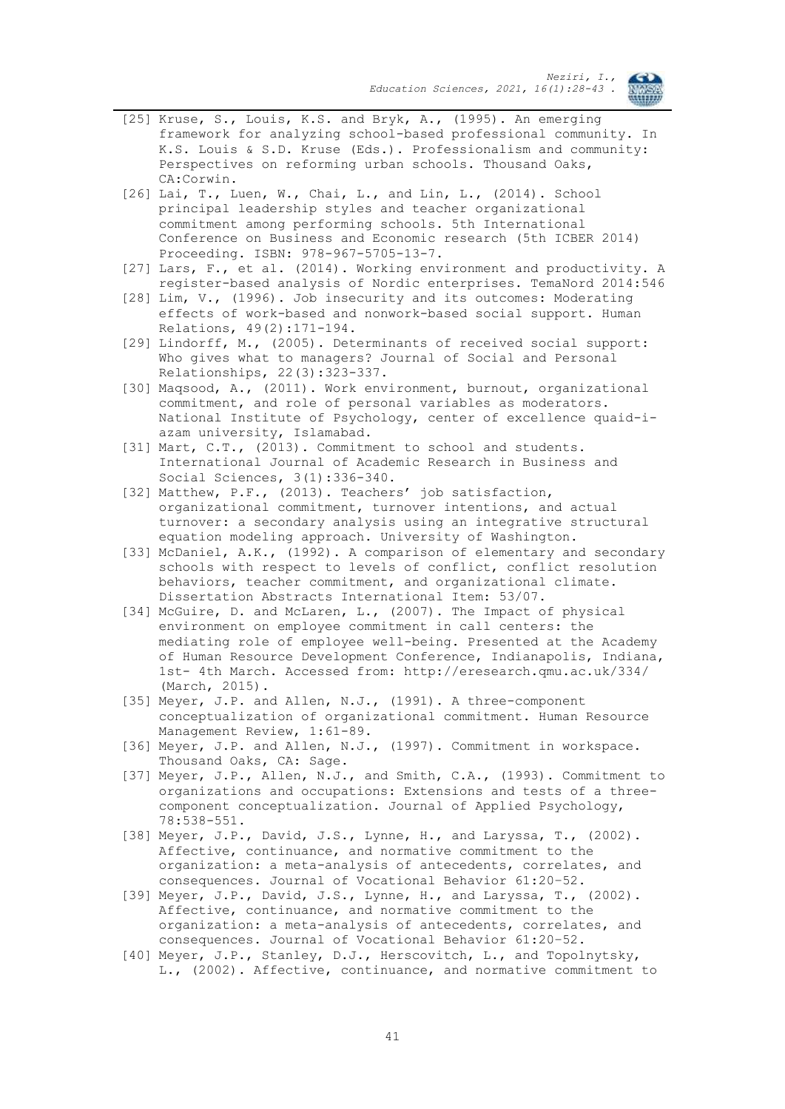

- [25] Kruse, S., Louis, K.S. and Bryk, A., (1995). An emerging framework for analyzing school-based professional community. In K.S. Louis & S.D. Kruse (Eds.). Professionalism and community: Perspectives on reforming urban schools. Thousand Oaks, CA:Corwin.
- [26] Lai, T., Luen, W., Chai, L., and Lin, L., (2014). School principal leadership styles and teacher organizational commitment among performing schools. 5th International Conference on Business and Economic research (5th ICBER 2014) Proceeding. ISBN: 978-967-5705-13-7.
- [27] Lars, F., et al. (2014). Working environment and productivity. A register-based analysis of Nordic enterprises. TemaNord 2014:546
- [28] Lim, V., (1996). Job insecurity and its outcomes: Moderating effects of work-based and nonwork-based social support. Human Relations, 49(2):171-194.
- [29] Lindorff, M., (2005). Determinants of received social support: Who gives what to managers? Journal of Social and Personal Relationships, 22(3):323-337.
- [30] Maqsood, A., (2011). Work environment, burnout, organizational commitment, and role of personal variables as moderators. National Institute of Psychology, center of excellence quaid-iazam university, Islamabad.
- [31] Mart, C.T., (2013). Commitment to school and students. International Journal of Academic Research in Business and Social Sciences, 3(1):336-340.
- [32] Matthew, P.F., (2013). Teachers' job satisfaction, organizational commitment, turnover intentions, and actual turnover: a secondary analysis using an integrative structural equation modeling approach. University of Washington.
- [33] McDaniel, A.K., (1992). A comparison of elementary and secondary schools with respect to levels of conflict, conflict resolution behaviors, teacher commitment, and organizational climate. Dissertation Abstracts International Item: 53/07.
- [34] McGuire, D. and McLaren, L., (2007). The Impact of physical environment on employee commitment in call centers: the mediating role of employee well-being. Presented at the Academy of Human Resource Development Conference, Indianapolis, Indiana, 1st- 4th March. Accessed from: http://eresearch.qmu.ac.uk/334/ (March, 2015).
- [35] Meyer, J.P. and Allen, N.J., (1991). A three-component conceptualization of organizational commitment. Human Resource Management Review, 1:61-89.
- [36] Meyer, J.P. and Allen, N.J., (1997). Commitment in workspace. Thousand Oaks, CA: Sage.
- [37] Meyer, J.P., Allen, N.J., and Smith, C.A., (1993). Commitment to organizations and occupations: Extensions and tests of a threecomponent conceptualization. Journal of Applied Psychology, 78:538-551.
- [38] Meyer, J.P., David, J.S., Lynne, H., and Laryssa, T., (2002). Affective, continuance, and normative commitment to the organization: a meta-analysis of antecedents, correlates, and consequences. Journal of Vocational Behavior 61:20–52.
- [39] Meyer, J.P., David, J.S., Lynne, H., and Laryssa, T., (2002). Affective, continuance, and normative commitment to the organization: a meta-analysis of antecedents, correlates, and consequences. Journal of Vocational Behavior 61:20–52.
- [40] Meyer, J.P., Stanley, D.J., Herscovitch, L., and Topolnytsky, L., (2002). Affective, continuance, and normative commitment to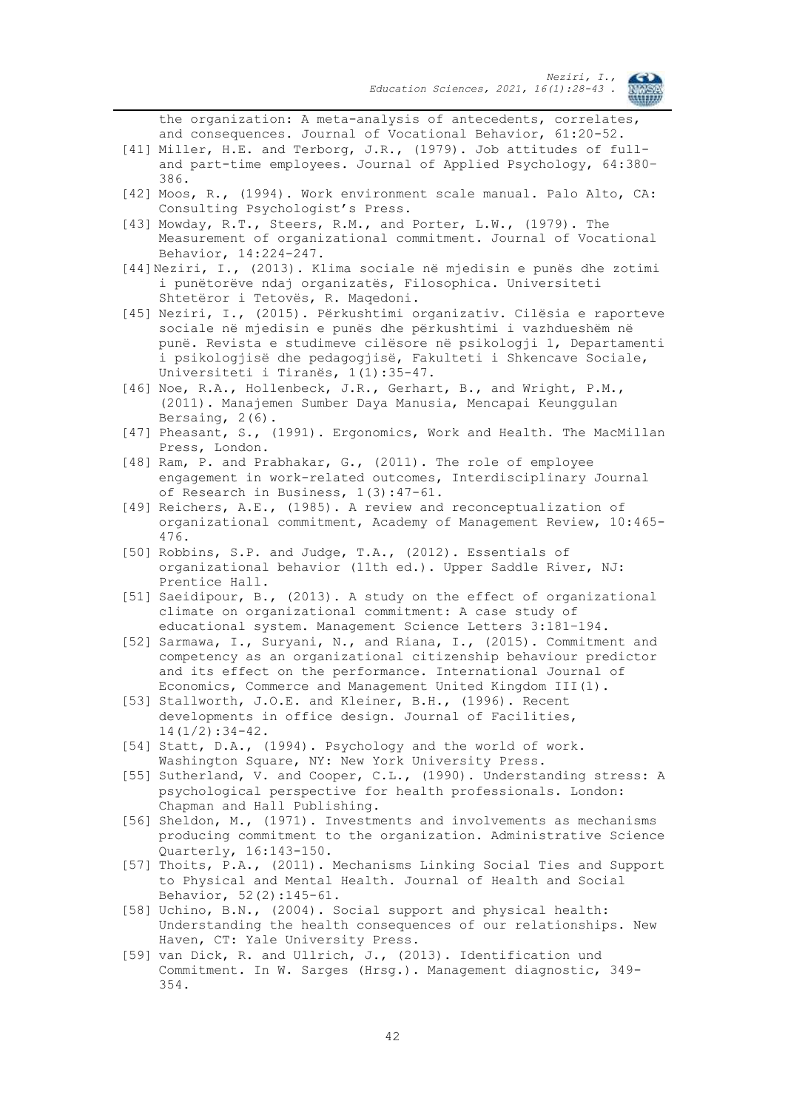the organization: A meta-analysis of antecedents, correlates,

- and consequences. Journal of Vocational Behavior, 61:20-52. [41] Miller, H.E. and Terborg, J.R., (1979). Job attitudes of fulland part-time employees. Journal of Applied Psychology, 64:380– 386.
- [42] Moos, R., (1994). Work environment scale manual. Palo Alto, CA: Consulting Psychologist's Press.
- [43] Mowday, R.T., Steers, R.M., and Porter, L.W., (1979). The Measurement of organizational commitment. Journal of Vocational Behavior, 14:224-247.
- [44]Neziri, I., (2013). Klima sociale në mjedisin e punës dhe zotimi i punëtorëve ndaj organizatës, Filosophica. Universiteti Shtetëror i Tetovës, R. Maqedoni.
- [45] Neziri, I., (2015). Përkushtimi organizativ. Cilësia e raporteve sociale në mjedisin e punës dhe përkushtimi i vazhdueshëm në punë. Revista e studimeve cilësore në psikologji 1, Departamenti i psikologjisë dhe pedagogjisë, Fakulteti i Shkencave Sociale, Universiteti i Tiranës, 1(1):35-47.
- [46] Noe, R.A., Hollenbeck, J.R., Gerhart, B., and Wright, P.M., (2011). Manajemen Sumber Daya Manusia, Mencapai Keunggulan Bersaing, 2(6).
- [47] Pheasant, S., (1991). Ergonomics, Work and Health. The MacMillan Press, London.
- [48] Ram, P. and Prabhakar, G., (2011). The role of employee engagement in work-related outcomes, Interdisciplinary Journal of Research in Business, 1(3):47-61.
- [49] Reichers, A.E., (1985). A review and reconceptualization of organizational commitment, Academy of Management Review, 10:465- 476.
- [50] Robbins, S.P. and Judge, T.A., (2012). Essentials of organizational behavior (11th ed.). Upper Saddle River, NJ: Prentice Hall.
- [51] Saeidipour, B., (2013). A study on the effect of organizational climate on organizational commitment: A case study of educational system. Management Science Letters 3:181–194.
- [52] Sarmawa, I., Suryani, N., and Riana, I., (2015). Commitment and competency as an organizational citizenship behaviour predictor and its effect on the performance. International Journal of Economics, Commerce and Management United Kingdom III(1).
- [53] Stallworth, J.O.E. and Kleiner, B.H., (1996). Recent developments in office design. Journal of Facilities, 14(1/2):34-42.
- [54] Statt, D.A., (1994). Psychology and the world of work. Washington Square, NY: New York University Press.
- [55] Sutherland, V. and Cooper, C.L., (1990). Understanding stress: A psychological perspective for health professionals. London: Chapman and Hall Publishing.
- [56] Sheldon, M., (1971). Investments and involvements as mechanisms producing commitment to the organization. Administrative Science Quarterly, 16:143-150.
- [57] Thoits, P.A., (2011). Mechanisms Linking Social Ties and Support to Physical and Mental Health. Journal of Health and Social Behavior, 52(2):145-61.
- [58] Uchino, B.N., (2004). Social support and physical health: Understanding the health consequences of our relationships. New Haven, CT: Yale University Press.
- [59] van Dick, R. and Ullrich, J., (2013). Identification und Commitment. In W. Sarges (Hrsg.). Management diagnostic, 349- 354.